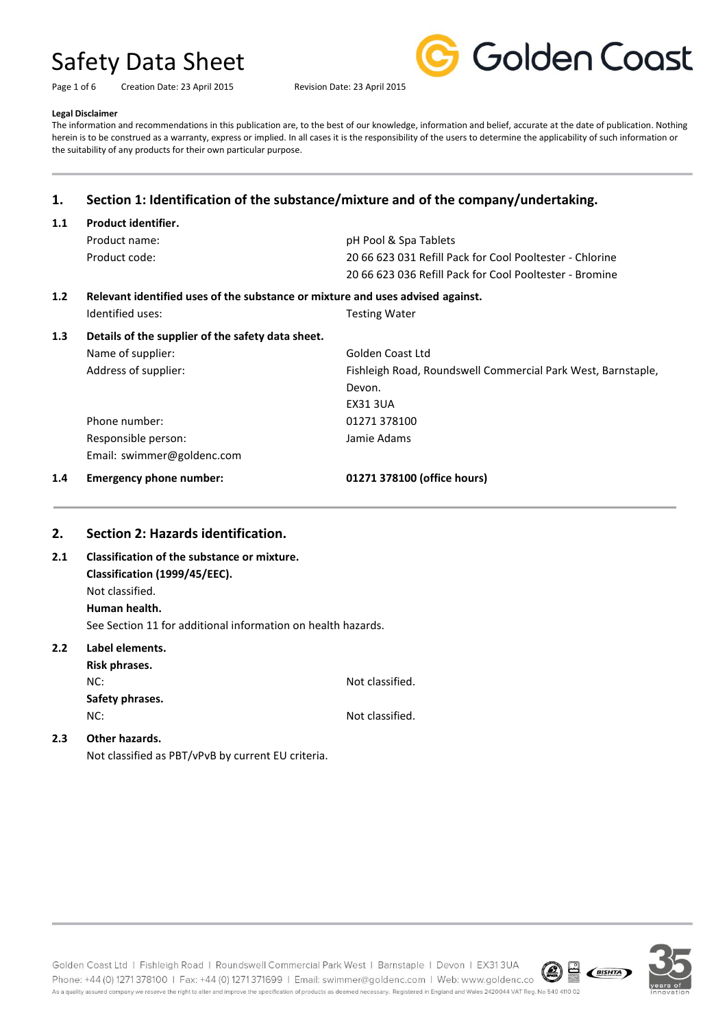Page 1 of 6 Creation Date: 23 April 2015 Revision Date: 23 April 2015



#### **Legal Disclaimer**

The information and recommendations in this publication are, to the best of our knowledge, information and belief, accurate at the date of publication. Nothing herein is to be construed as a warranty, express or implied. In all cases it is the responsibility of the users to determine the applicability of such information or the suitability of any products for their own particular purpose.

### **1. Section 1: Identification of the substance/mixture and of the company/undertaking.**

| 1.1 | <b>Product identifier.</b>                                                     |                                                              |  |
|-----|--------------------------------------------------------------------------------|--------------------------------------------------------------|--|
|     | Product name:                                                                  | pH Pool & Spa Tablets                                        |  |
|     | Product code:                                                                  | 20 66 623 031 Refill Pack for Cool Pooltester - Chlorine     |  |
|     |                                                                                | 20 66 623 036 Refill Pack for Cool Pooltester - Bromine      |  |
| 1.2 | Relevant identified uses of the substance or mixture and uses advised against. |                                                              |  |
|     | Identified uses:                                                               | <b>Testing Water</b>                                         |  |
| 1.3 | Details of the supplier of the safety data sheet.                              |                                                              |  |
|     | Name of supplier:                                                              | Golden Coast Ltd                                             |  |
|     | Address of supplier:                                                           | Fishleigh Road, Roundswell Commercial Park West, Barnstaple, |  |
|     |                                                                                | Devon.                                                       |  |
|     |                                                                                | <b>EX31 3UA</b>                                              |  |
|     | Phone number:                                                                  | 01271 378100                                                 |  |
|     | Responsible person:                                                            | Jamie Adams                                                  |  |
|     | Email: swimmer@goldenc.com                                                     |                                                              |  |
| 1.4 | <b>Emergency phone number:</b>                                                 | 01271 378100 (office hours)                                  |  |

#### **2. Section 2: Hazards identification.**

**2.1 Classification of the substance or mixture. Classification (1999/45/EEC).** Not classified. **Human health.** See Section 11 for additional information on health hazards.

#### **2.2 Label elements. Risk phrases.**

| MISK MIII ASCS. |                 |
|-----------------|-----------------|
| NC:             | Not classified. |
| Safety phrases. |                 |
| NC:             | Not classified. |
| Othor hozardc   |                 |

#### **2.3 Other hazards.**

Not classified as PBT/vPvB by current EU criteria.

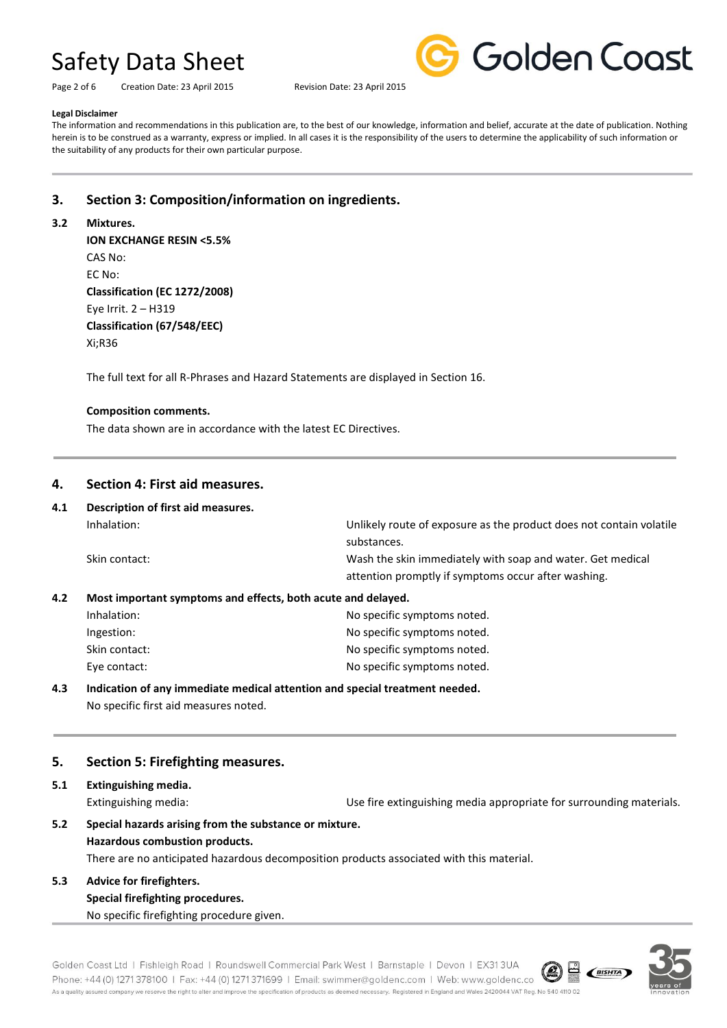Page 2 of 6 Creation Date: 23 April 2015 Revision Date: 23 April 2015



#### **Legal Disclaimer**

The information and recommendations in this publication are, to the best of our knowledge, information and belief, accurate at the date of publication. Nothing herein is to be construed as a warranty, express or implied. In all cases it is the responsibility of the users to determine the applicability of such information or the suitability of any products for their own particular purpose.

### **3. Section 3: Composition/information on ingredients.**

#### **3.2 Mixtures.**

**ION EXCHANGE RESIN <5.5%** CAS No: EC No: **Classification (EC 1272/2008)** Eye Irrit. 2 – H319 **Classification (67/548/EEC)** Xi;R36

The full text for all R-Phrases and Hazard Statements are displayed in Section 16.

#### **Composition comments.**

The data shown are in accordance with the latest EC Directives.

#### **4. Section 4: First aid measures.**

| 4.1 | Description of first aid measures.                           |                                                                     |  |
|-----|--------------------------------------------------------------|---------------------------------------------------------------------|--|
|     | Inhalation:                                                  | Unlikely route of exposure as the product does not contain volatile |  |
|     |                                                              | substances.                                                         |  |
|     | Skin contact:                                                | Wash the skin immediately with soap and water. Get medical          |  |
|     |                                                              | attention promptly if symptoms occur after washing.                 |  |
| 4.2 | Most important symptoms and effects, both acute and delayed. |                                                                     |  |
|     | Inhalation:                                                  | No specific symptoms noted.                                         |  |
|     |                                                              |                                                                     |  |

| innaiation:   | INO SPECIFIC SVIMPLOMS NOTED. |
|---------------|-------------------------------|
| Ingestion:    | No specific symptoms noted.   |
| Skin contact: | No specific symptoms noted.   |
| Eve contact:  | No specific symptoms noted.   |
|               |                               |

#### **4.3 Indication of any immediate medical attention and special treatment needed.** No specific first aid measures noted.

#### **5. Section 5: Firefighting measures.**

**5.1 Extinguishing media.**

Extinguishing media: Use fire extinguishing media appropriate for surrounding materials.

**5.2 Special hazards arising from the substance or mixture. Hazardous combustion products.** There are no anticipated hazardous decomposition products associated with this material.

### **5.3 Advice for firefighters. Special firefighting procedures.**

No specific firefighting procedure given.

Golden Coast Ltd | Fishleigh Road | Roundswell Commercial Park West | Barnstaple | Devon | EX313UA **CONSERVANTE** Phone: +44 (0) 1271 378100 | Fax: +44 (0) 1271 371699 | Email: swimmer@goldenc.com | Web: www.goldenc.co As a quality assured company we reserve the right to alter and improve the specification of products as deemed necessary. Registered in England and Wales 2420044 VAT Reg. No 540 4110 02

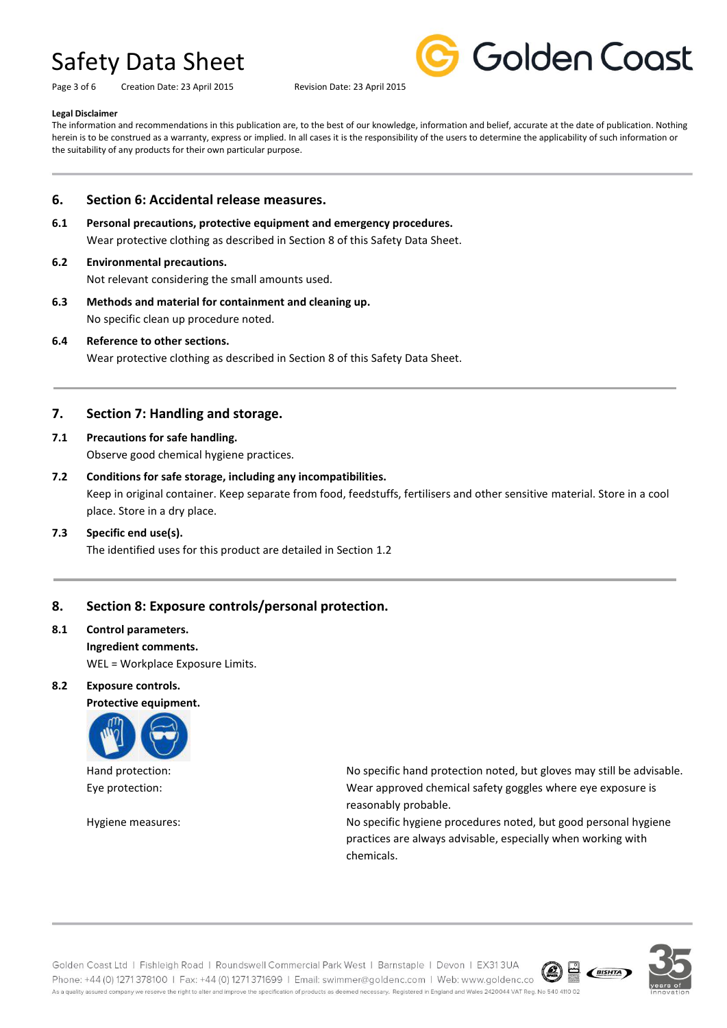Page 3 of 6 Creation Date: 23 April 2015 Revision Date: 23 April 2015



#### **Legal Disclaimer**

The information and recommendations in this publication are, to the best of our knowledge, information and belief, accurate at the date of publication. Nothing herein is to be construed as a warranty, express or implied. In all cases it is the responsibility of the users to determine the applicability of such information or the suitability of any products for their own particular purpose.

#### **6. Section 6: Accidental release measures.**

**6.1 Personal precautions, protective equipment and emergency procedures.** Wear protective clothing as described in Section 8 of this Safety Data Sheet.

#### **6.2 Environmental precautions.**

Not relevant considering the small amounts used.

**6.3 Methods and material for containment and cleaning up.** No specific clean up procedure noted.

#### **6.4 Reference to other sections.**

Wear protective clothing as described in Section 8 of this Safety Data Sheet.

#### **7. Section 7: Handling and storage.**

# **7.1 Precautions for safe handling.**

Observe good chemical hygiene practices.

**7.2 Conditions for safe storage, including any incompatibilities.** Keep in original container. Keep separate from food, feedstuffs, fertilisers and other sensitive material. Store in a cool place. Store in a dry place.

#### **7.3 Specific end use(s).**

The identified uses for this product are detailed in Section 1.2

#### **8. Section 8: Exposure controls/personal protection.**

## **8.1 Control parameters. Ingredient comments.**

WEL = Workplace Exposure Limits.

#### **8.2 Exposure controls.**

**Protective equipment.**



Hand protection: No specific hand protection noted, but gloves may still be advisable. Eye protection: Wear approved chemical safety goggles where eye exposure is reasonably probable.

Hygiene measures: No specific hygiene procedures noted, but good personal hygiene practices are always advisable, especially when working with chemicals.



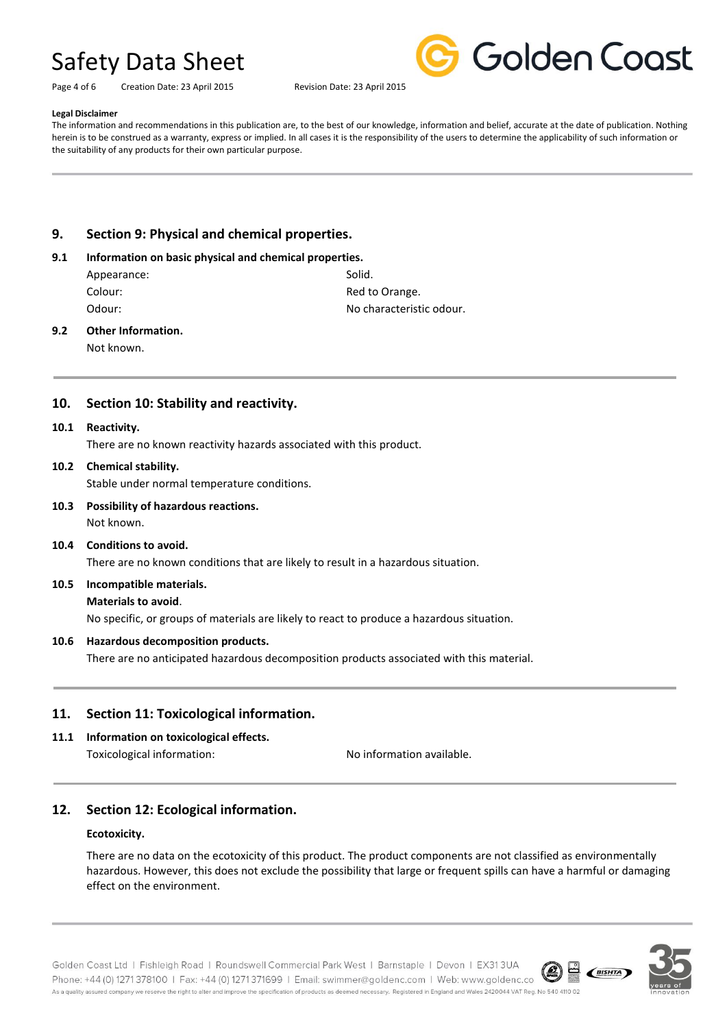Golden Coast

Page 4 of 6 Creation Date: 23 April 2015 Revision Date: 23 April 2015

#### **Legal Disclaimer**

The information and recommendations in this publication are, to the best of our knowledge, information and belief, accurate at the date of publication. Nothing herein is to be construed as a warranty, express or implied. In all cases it is the responsibility of the users to determine the applicability of such information or the suitability of any products for their own particular purpose.

#### **9. Section 9: Physical and chemical properties.**

#### **9.1 Information on basic physical and chemical properties.**

| Solid.                   |
|--------------------------|
| Red to Orange.           |
| No characteristic odour. |
|                          |

#### **9.2 Other Information.**

Not known.

#### **10. Section 10: Stability and reactivity.**

#### **10.1 Reactivity.**

There are no known reactivity hazards associated with this product.

#### **10.2 Chemical stability.**

Stable under normal temperature conditions.

**10.3 Possibility of hazardous reactions.** Not known.

#### **10.4 Conditions to avoid.**

There are no known conditions that are likely to result in a hazardous situation.

#### **10.5 Incompatible materials.**

#### **Materials to avoid**.

No specific, or groups of materials are likely to react to produce a hazardous situation.

#### **10.6 Hazardous decomposition products.**

There are no anticipated hazardous decomposition products associated with this material.

#### **11. Section 11: Toxicological information.**

**11.1 Information on toxicological effects.** Toxicological information: No information available.

#### **12. Section 12: Ecological information.**

#### **Ecotoxicity.**

There are no data on the ecotoxicity of this product. The product components are not classified as environmentally hazardous. However, this does not exclude the possibility that large or frequent spills can have a harmful or damaging effect on the environment.



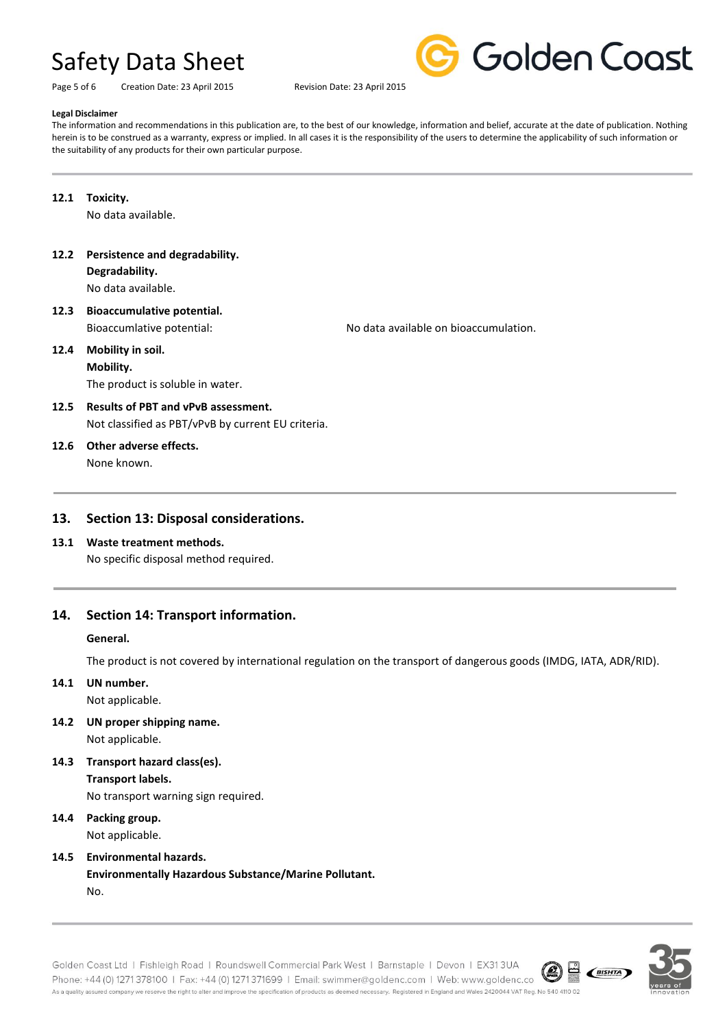Page 5 of 6 Creation Date: 23 April 2015 Revision Date: 23 April 2015



#### **Legal Disclaimer**

The information and recommendations in this publication are, to the best of our knowledge, information and belief, accurate at the date of publication. Nothing herein is to be construed as a warranty, express or implied. In all cases it is the responsibility of the users to determine the applicability of such information or the suitability of any products for their own particular purpose.

**12.1 Toxicity.**

No data available.

**12.2 Persistence and degradability.**

**Degradability.**

No data available.

**12.3 Bioaccumulative potential.** Bioaccumlative potential: No data available on bioaccumulation.

## **12.4 Mobility in soil.**

**Mobility.** The product is soluble in water.

**12.5 Results of PBT and vPvB assessment.** Not classified as PBT/vPvB by current EU criteria.

#### **12.6 Other adverse effects.** None known.

#### **13. Section 13: Disposal considerations.**

# **13.1 Waste treatment methods.**

No specific disposal method required.

### **14. Section 14: Transport information.**

#### **General.**

The product is not covered by international regulation on the transport of dangerous goods (IMDG, IATA, ADR/RID).

### **14.1 UN number.**

Not applicable.

- **14.2 UN proper shipping name.** Not applicable.
- **14.3 Transport hazard class(es).**

### **Transport labels.**

No transport warning sign required.

### **14.4 Packing group.**

Not applicable.

#### **14.5 Environmental hazards.**

**Environmentally Hazardous Substance/Marine Pollutant.**

No.